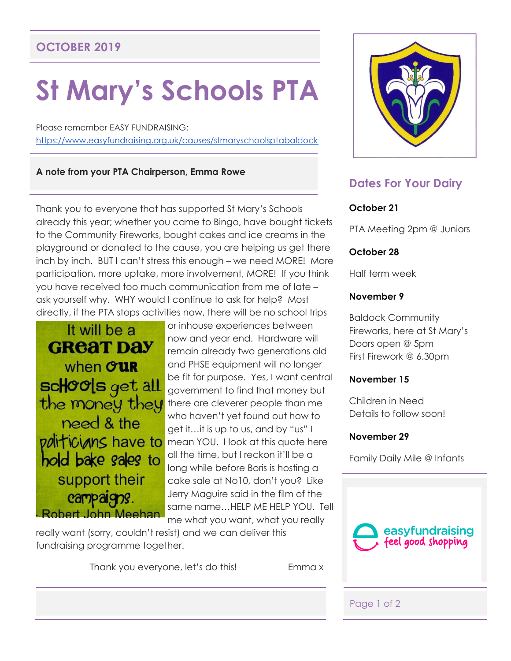# **OCTOBER 2019**

# **St Mary's Schools PTA**

Please remember EASY FUNDRAISING: <https://www.easyfundraising.org.uk/causes/stmaryschoolsptabaldock>

#### **A note from your PTA Chairperson, Emma Rowe**

Thank you to everyone that has supported St Mary's Schools already this year; whether you came to Bingo, have bought tickets to the Community Fireworks, bought cakes and ice creams in the playground or donated to the cause, you are helping us get there inch by inch. BUT I can't stress this enough – we need MORE! More participation, more uptake, more involvement, MORE! If you think you have received too much communication from me of late – ask yourself why. WHY would I continue to ask for help? Most directly, if the PTA stops activities now, there will be no school trips



or inhouse experiences between now and year end. Hardware will remain already two generations old and PHSE equipment will no longer be fit for purpose. Yes, I want central government to find that money but there are cleverer people than me who haven't yet found out how to get it…it is up to us, and by "us" I mean YOU. I look at this quote here all the time, but I reckon it'll be a long while before Boris is hosting a cake sale at No10, don't you? Like Jerry Maguire said in the film of the same name…HELP ME HELP YOU. Tell me what you want, what you really

really want (sorry, couldn't resist) and we can deliver this fundraising programme together.

Thank you everyone, let's do this! Emma x



# **Dates For Your Dairy**

## **October 21**

PTA Meeting 2pm @ Juniors

### **October 28**

Half term week

## **November 9**

Baldock Community Fireworks, here at St Mary's Doors open @ 5pm First Firework @ 6.30pm

#### **November 15**

Children in Need Details to follow soon!

#### **November 29**

Family Daily Mile @ Infants



## Page 1 of 2